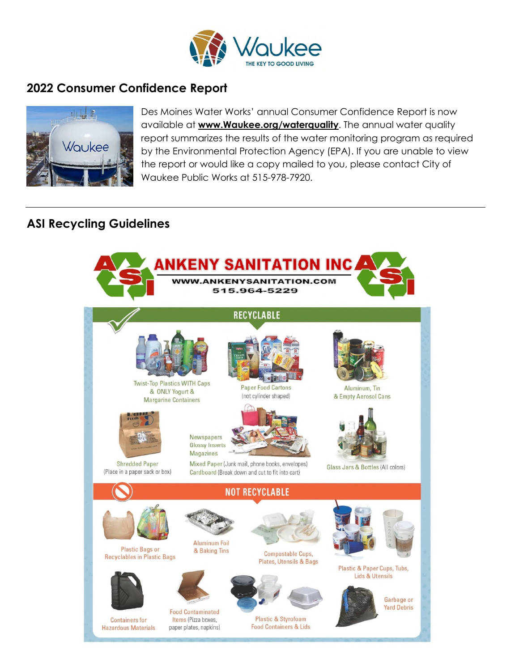

## **2022 Consumer Confidence Report**



Des Moines Water Works' annual Consumer Confidence Report is now available at **www.Waukee.org/waterquality**. The annual water quality report summarizes the results of the water monitoring program as required by the Environmental Protection Agency (EPA). If you are unable to view the report or would like a copy mailed to you, please contact City of Waukee Public Works at 515-978-7920.

## **ASI Recycling Guidelines**